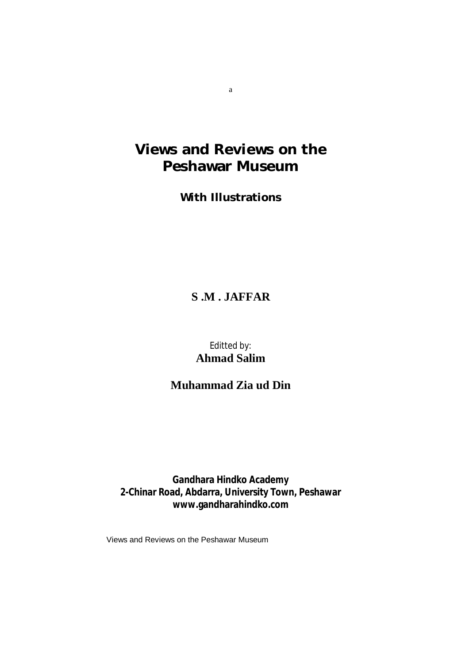# **Views and Reviews on the Peshawar Museum**

**With Illustrations**

## **S .M . JAFFAR**

### Editted by: **Ahmad Salim**

## **Muhammad Zia ud Din**

**Gandhara Hindko Academy 2-Chinar Road, Abdarra, University Town, Peshawar [www.gandharahindko.com](http://www.gandharahindko.com)**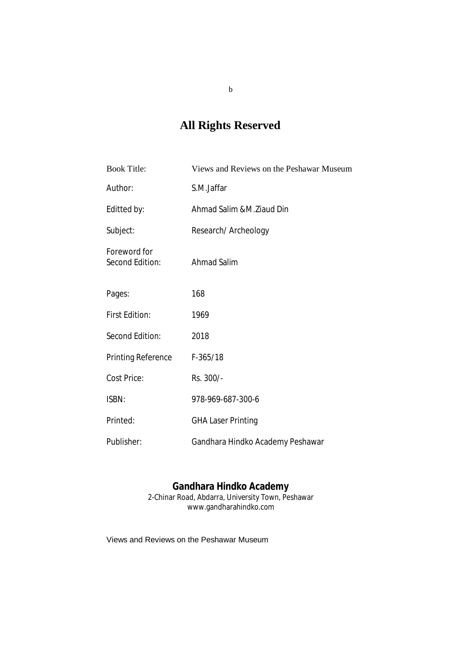# **All Rights Reserved**

| <b>Book Title:</b>              | Views and Reviews on the Peshawar Museum |
|---------------------------------|------------------------------------------|
| Author:                         | S.M.Jaffar                               |
| Editted by:                     | Ahmad Salim &M.Ziaud Din                 |
| Subject:                        | Research/ Archeology                     |
| Foreword for<br>Second Edition: | <b>Ahmad Salim</b>                       |
| Pages:                          | 168                                      |
| <b>First Edition:</b>           | 1969                                     |
| Second Edition:                 | 2018                                     |
| <b>Printing Reference</b>       | $F-365/18$                               |
| Cost Price:                     | Rs. 300/-                                |
| ISBN:                           | 978-969-687-300-6                        |
| Printed:                        | <b>GHA Laser Printing</b>                |
| Publisher:                      | Gandhara Hindko Academy Peshawar         |

#### **Gandhara Hindko Academy**

2-Chinar Road, Abdarra, University Town, Peshawar [www.gandharahindko.com](http://www.gandharahindko.com)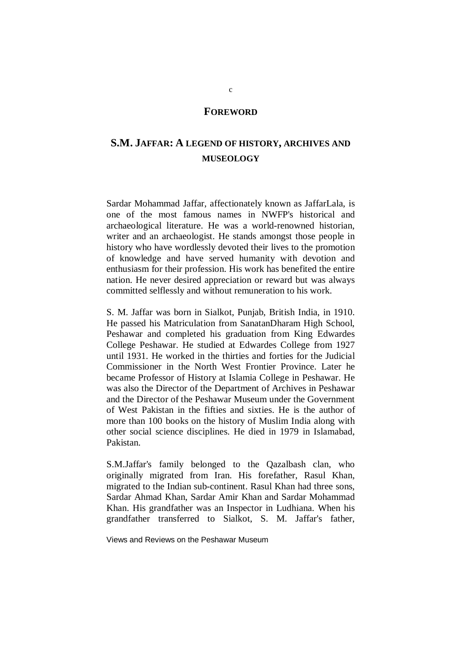#### **FOREWORD**

### **S.M. JAFFAR: A LEGEND OF HISTORY, ARCHIVES AND MUSEOLOGY**

Sardar Mohammad Jaffar, affectionately known as JaffarLala, is one of the most famous names in NWFP's historical and archaeological literature. He was a world-renowned historian, writer and an archaeologist. He stands amongst those people in history who have wordlessly devoted their lives to the promotion of knowledge and have served humanity with devotion and enthusiasm for their profession. His work has benefited the entire nation. He never desired appreciation or reward but was always committed selflessly and without remuneration to his work.

S. M. Jaffar was born in Sialkot, Punjab, British India, in 1910. He passed his Matriculation from SanatanDharam High School, Peshawar and completed his graduation from King Edwardes College Peshawar. He studied at Edwardes College from 1927 until 1931. He worked in the thirties and forties for the Judicial Commissioner in the North West Frontier Province. Later he became Professor of History at Islamia College in Peshawar. He was also the Director of the Department of Archives in Peshawar and the Director of the Peshawar Museum under the Government of West Pakistan in the fifties and sixties. He is the author of more than 100 books on the history of Muslim India along with other social science disciplines. He died in 1979 in Islamabad, Pakistan.

S.M.Jaffar's family belonged to the Qazalbash clan, who originally migrated from Iran. His forefather, Rasul Khan, migrated to the Indian sub-continent. Rasul Khan had three sons, Sardar Ahmad Khan, Sardar Amir Khan and Sardar Mohammad Khan. His grandfather was an Inspector in Ludhiana. When his grandfather transferred to Sialkot, S. M. Jaffar's father,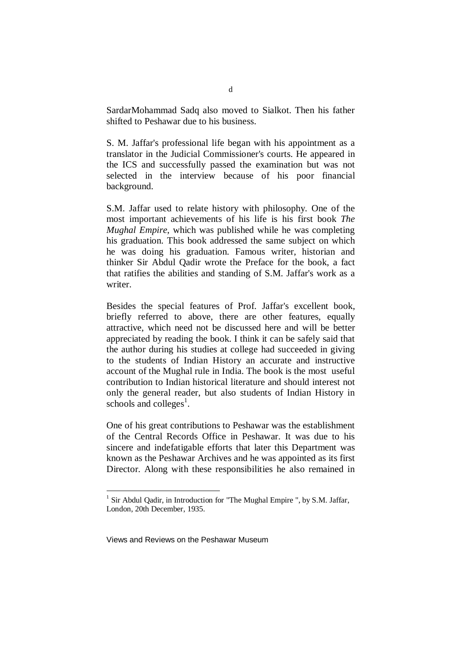SardarMohammad Sadq also moved to Sialkot. Then his father shifted to Peshawar due to his business.

S. M. Jaffar's professional life began with his appointment as a translator in the Judicial Commissioner's courts. He appeared in the ICS and successfully passed the examination but was not selected in the interview because of his poor financial background.

S.M. Jaffar used to relate history with philosophy. One of the most important achievements of his life is his first book *The Mughal Empire*, which was published while he was completing his graduation. This book addressed the same subject on which he was doing his graduation. Famous writer, historian and thinker Sir Abdul Qadir wrote the Preface for the book, a fact that ratifies the abilities and standing of S.M. Jaffar's work as a writer.

Besides the special features of Prof. Jaffar's excellent book, briefly referred to above, there are other features, equally attractive, which need not be discussed here and will be better appreciated by reading the book. I think it can be safely said that the author during his studies at college had succeeded in giving to the students of Indian History an accurate and instructive account of the Mughal rule in India. The book is the most useful contribution to Indian historical literature and should interest not only the general reader, but also students of Indian History in schools and colleges<sup>1</sup>.

One of his great contributions to Peshawar was the establishment of the Central Records Office in Peshawar. It was due to his sincere and indefatigable efforts that later this Department was known as the Peshawar Archives and he was appointed as its first Director. Along with these responsibilities he also remained in

 1 Sir Abdul Qadir, in Introduction for "The Mughal Empire ", by S.M. Jaffar, London, 20th December, 1935.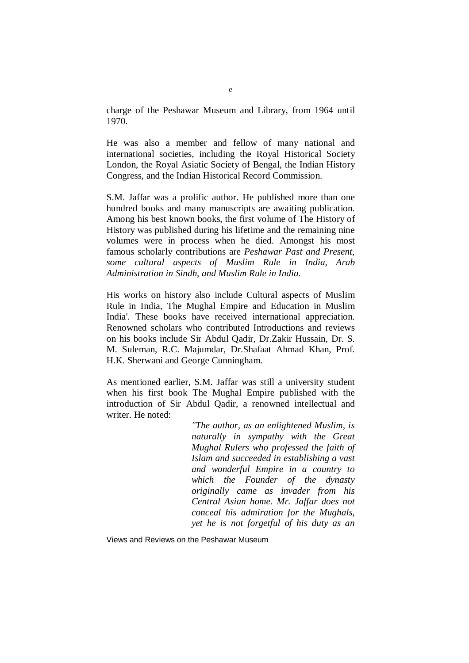charge of the Peshawar Museum and Library, from 1964 until 1970.

He was also a member and fellow of many national and international societies, including the Royal Historical Society London, the Royal Asiatic Society of Bengal, the Indian History Congress, and the Indian Historical Record Commission.

S.M. Jaffar was a prolific author. He published more than one hundred books and many manuscripts are awaiting publication. Among his best known books, the first volume of The History of History was published during his lifetime and the remaining nine volumes were in process when he died. Amongst his most famous scholarly contributions are *Peshawar Past and Present, some cultural aspects of Muslim Rule in India, Arab Administration in Sindh, and Muslim Rule in India*.

His works on history also include Cultural aspects of Muslim Rule in India, The Mughal Empire and Education in Muslim India'. These books have received international appreciation. Renowned scholars who contributed Introductions and reviews on his books include Sir Abdul Qadir, Dr.Zakir Hussain, Dr. S. M. Suleman, R.C. Majumdar, Dr.Shafaat Ahmad Khan, Prof. H.K. Sherwani and George Cunningham.

As mentioned earlier, S.M. Jaffar was still a university student when his first book The Mughal Empire published with the introduction of Sir Abdul Qadir, a renowned intellectual and writer. He noted:

> *"The author, as an enlightened Muslim, is naturally in sympathy with the Great Mughal Rulers who professed the faith of Islam and succeeded in establishing a vast and wonderful Empire in a country to which the Founder of the dynasty originally came as invader from his Central Asian home. Mr. Jaffar does not conceal his admiration for the Mughals, yet he is not forgetful of his duty as an*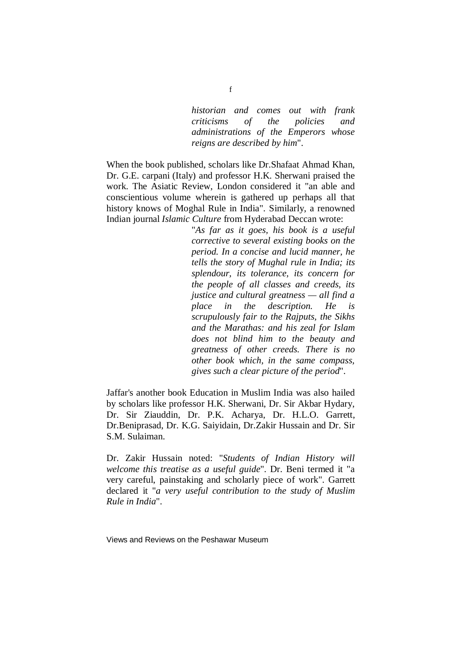*historian and comes out with frank criticisms of the policies and administrations of the Emperors whose reigns are described by him*".

When the book published, scholars like Dr.Shafaat Ahmad Khan, Dr. G.E. carpani (Italy) and professor H.K. Sherwani praised the work. The Asiatic Review, London considered it "an able and conscientious volume wherein is gathered up perhaps all that history knows of Moghal Rule in India". Similarly, a renowned Indian journal *Islamic Culture* from Hyderabad Deccan wrote:

> "*As far as it goes, his book is a useful corrective to several existing books on the period. In a concise and lucid manner, he tells the story of Mughal rule in India; its splendour, its tolerance, its concern for the people of all classes and creeds, its justice and cultural greatness — all find a place in the description. He is scrupulously fair to the Rajputs, the Sikhs and the Marathas: and his zeal for Islam does not blind him to the beauty and greatness of other creeds. There is no other book which, in the same compass, gives such a clear picture of the period*".

Jaffar's another book Education in Muslim India was also hailed by scholars like professor H.K. Sherwani, Dr. Sir Akbar Hydary, Dr. Sir Ziauddin, Dr. P.K. Acharya, Dr. H.L.O. Garrett, Dr.Beniprasad, Dr. K.G. Saiyidain, Dr.Zakir Hussain and Dr. Sir S.M. Sulaiman.

Dr. Zakir Hussain noted: "*Students of Indian History will welcome this treatise as a useful guide*". Dr. Beni termed it "a very careful, painstaking and scholarly piece of work". Garrett declared it "*a very useful contribution to the study of Muslim Rule in India*".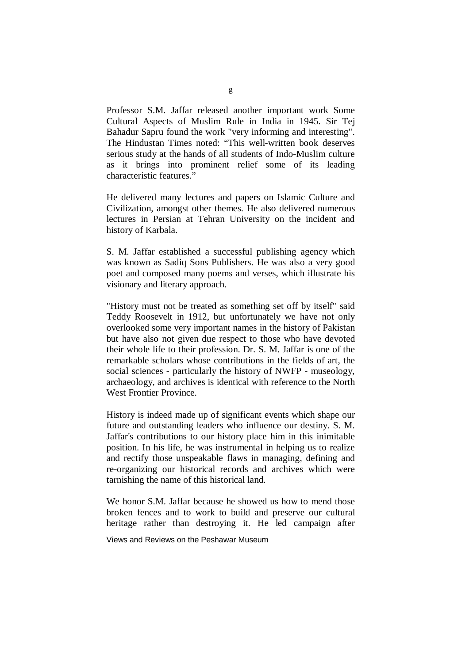Professor S.M. Jaffar released another important work Some Cultural Aspects of Muslim Rule in India in 1945. Sir Tej Bahadur Sapru found the work "very informing and interesting". The Hindustan Times noted: "This well-written book deserves serious study at the hands of all students of Indo-Muslim culture as it brings into prominent relief some of its leading characteristic features."

He delivered many lectures and papers on Islamic Culture and Civilization, amongst other themes. He also delivered numerous lectures in Persian at Tehran University on the incident and history of Karbala.

S. M. Jaffar established a successful publishing agency which was known as Sadiq Sons Publishers. He was also a very good poet and composed many poems and verses, which illustrate his visionary and literary approach.

"History must not be treated as something set off by itself" said Teddy Roosevelt in 1912, but unfortunately we have not only overlooked some very important names in the history of Pakistan but have also not given due respect to those who have devoted their whole life to their profession. Dr. S. M. Jaffar is one of the remarkable scholars whose contributions in the fields of art, the social sciences - particularly the history of NWFP - museology, archaeology, and archives is identical with reference to the North West Frontier Province.

History is indeed made up of significant events which shape our future and outstanding leaders who influence our destiny. S. M. Jaffar's contributions to our history place him in this inimitable position. In his life, he was instrumental in helping us to realize and rectify those unspeakable flaws in managing, defining and re-organizing our historical records and archives which were tarnishing the name of this historical land.

We honor S.M. Jaffar because he showed us how to mend those broken fences and to work to build and preserve our cultural heritage rather than destroying it. He led campaign after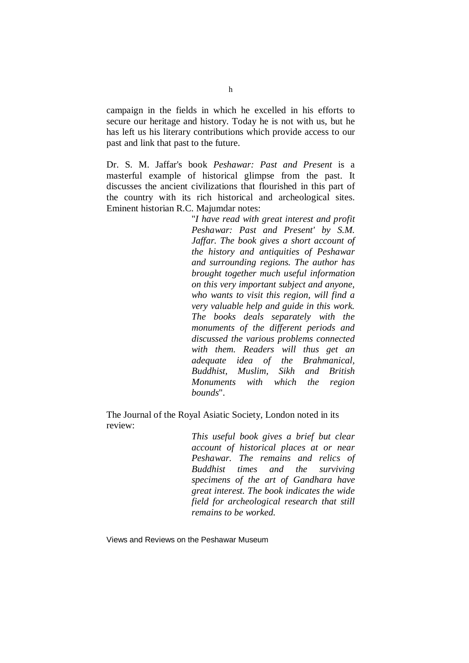campaign in the fields in which he excelled in his efforts to secure our heritage and history. Today he is not with us, but he has left us his literary contributions which provide access to our past and link that past to the future.

Dr. S. M. Jaffar's book *Peshawar: Past and Present* is a masterful example of historical glimpse from the past. It discusses the ancient civilizations that flourished in this part of the country with its rich historical and archeological sites. Eminent historian R.C. Majumdar notes:

> "*I have read with great interest and profit Peshawar: Past and Present' by S.M. Jaffar. The book gives a short account of the history and antiquities of Peshawar and surrounding regions. The author has brought together much useful information on this very important subject and anyone, who wants to visit this region, will find a very valuable help and guide in this work. The books deals separately with the monuments of the different periods and discussed the various problems connected with them. Readers will thus get an adequate idea of the Brahmanical, Buddhist, Muslim, Sikh and British Monuments with which the region bounds*".

The Journal of the Royal Asiatic Society, London noted in its review:

> *This useful book gives a brief but clear account of historical places at or near Peshawar. The remains and relics of Buddhist times and the surviving specimens of the art of Gandhara have great interest. The book indicates the wide field for archeological research that still remains to be worked.*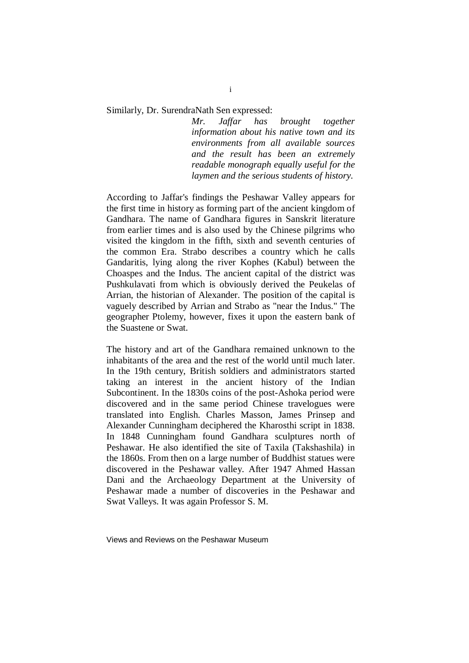Similarly, Dr. SurendraNath Sen expressed:

*Mr. Jaffar has brought together information about his native town and its environments from all available sources and the result has been an extremely readable monograph equally useful for the laymen and the serious students of history*.

According to Jaffar's findings the Peshawar Valley appears for the first time in history as forming part of the ancient kingdom of Gandhara. The name of Gandhara figures in Sanskrit literature from earlier times and is also used by the Chinese pilgrims who visited the kingdom in the fifth, sixth and seventh centuries of the common Era. Strabo describes a country which he calls Gandaritis, lying along the river Kophes (Kabul) between the Choaspes and the Indus. The ancient capital of the district was Pushkulavati from which is obviously derived the Peukelas of Arrian, the historian of Alexander. The position of the capital is vaguely described by Arrian and Strabo as "near the Indus." The geographer Ptolemy, however, fixes it upon the eastern bank of the Suastene or Swat.

The history and art of the Gandhara remained unknown to the inhabitants of the area and the rest of the world until much later. In the 19th century, British soldiers and administrators started taking an interest in the ancient history of the Indian Subcontinent. In the 1830s coins of the post-Ashoka period were discovered and in the same period Chinese travelogues were translated into English. Charles Masson, James Prinsep and Alexander Cunningham deciphered the Kharosthi script in 1838. In 1848 Cunningham found Gandhara sculptures north of Peshawar. He also identified the site of Taxila (Takshashila) in the 1860s. From then on a large number of Buddhist statues were discovered in the Peshawar valley. After 1947 Ahmed Hassan Dani and the Archaeology Department at the University of Peshawar made a number of discoveries in the Peshawar and Swat Valleys. It was again Professor S. M.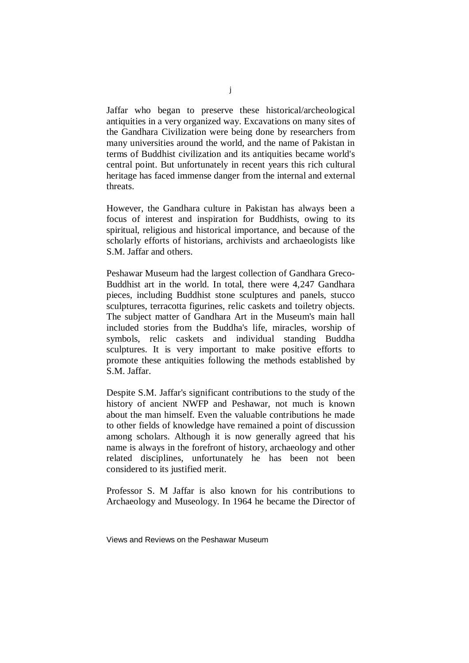Jaffar who began to preserve these historical/archeological antiquities in a very organized way. Excavations on many sites of the Gandhara Civilization were being done by researchers from many universities around the world, and the name of Pakistan in terms of Buddhist civilization and its antiquities became world's central point. But unfortunately in recent years this rich cultural heritage has faced immense danger from the internal and external threats.

However, the Gandhara culture in Pakistan has always been a focus of interest and inspiration for Buddhists, owing to its spiritual, religious and historical importance, and because of the scholarly efforts of historians, archivists and archaeologists like S.M. Jaffar and others.

Peshawar Museum had the largest collection of Gandhara Greco-Buddhist art in the world. In total, there were 4,247 Gandhara pieces, including Buddhist stone sculptures and panels, stucco sculptures, terracotta figurines, relic caskets and toiletry objects. The subject matter of Gandhara Art in the Museum's main hall included stories from the Buddha's life, miracles, worship of symbols, relic caskets and individual standing Buddha sculptures. It is very important to make positive efforts to promote these antiquities following the methods established by S.M. Jaffar.

Despite S.M. Jaffar's significant contributions to the study of the history of ancient NWFP and Peshawar, not much is known about the man himself. Even the valuable contributions he made to other fields of knowledge have remained a point of discussion among scholars. Although it is now generally agreed that his name is always in the forefront of history, archaeology and other related disciplines, unfortunately he has been not been considered to its justified merit.

Professor S. M Jaffar is also known for his contributions to Archaeology and Museology. In 1964 he became the Director of

Views and Reviews on the Peshawar Museum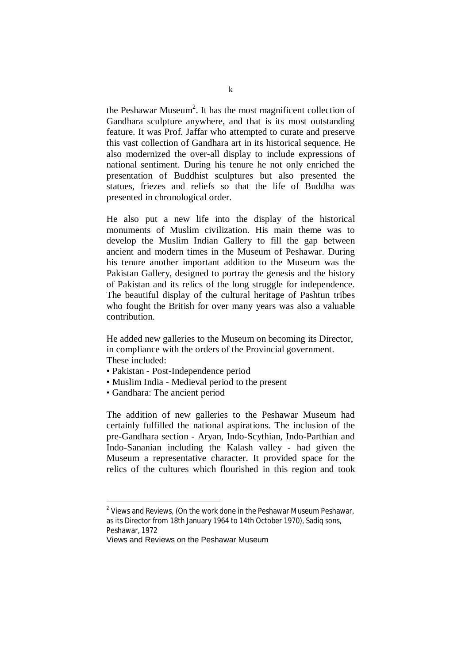the Peshawar Museum<sup>2</sup>. It has the most magnificent collection of Gandhara sculpture anywhere, and that is its most outstanding feature. It was Prof. Jaffar who attempted to curate and preserve this vast collection of Gandhara art in its historical sequence. He also modernized the over-all display to include expressions of national sentiment. During his tenure he not only enriched the presentation of Buddhist sculptures but also presented the statues, friezes and reliefs so that the life of Buddha was presented in chronological order.

He also put a new life into the display of the historical monuments of Muslim civilization. His main theme was to develop the Muslim Indian Gallery to fill the gap between ancient and modern times in the Museum of Peshawar. During his tenure another important addition to the Museum was the Pakistan Gallery, designed to portray the genesis and the history of Pakistan and its relics of the long struggle for independence. The beautiful display of the cultural heritage of Pashtun tribes who fought the British for over many years was also a valuable contribution.

He added new galleries to the Museum on becoming its Director, in compliance with the orders of the Provincial government. These included:

- Pakistan Post-Independence period
- Muslim India Medieval period to the present
- Gandhara: The ancient period

The addition of new galleries to the Peshawar Museum had certainly fulfilled the national aspirations. The inclusion of the pre-Gandhara section - Aryan, Indo-Scythian, Indo-Parthian and Indo-Sananian including the Kalash valley - had given the Museum a representative character. It provided space for the relics of the cultures which flourished in this region and took

 2 Views and Reviews, (On the work done in the Peshawar Museum Peshawar, as its Director from 18th January 1964 to 14th October 1970), Sadiq sons, Peshawar, 1972

Views and Reviews on the Peshawar Museum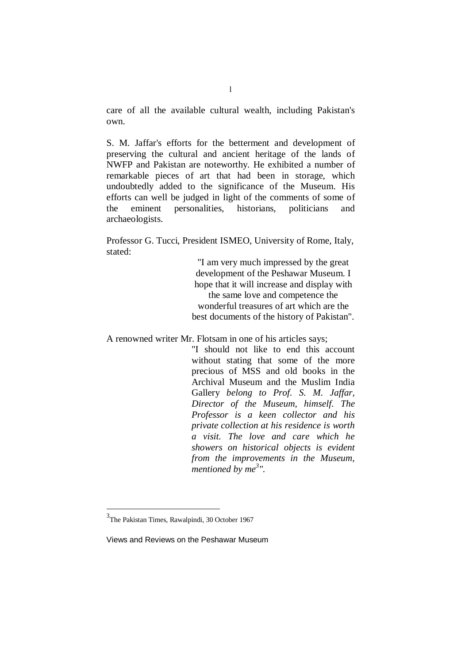care of all the available cultural wealth, including Pakistan's own.

S. M. Jaffar's efforts for the betterment and development of preserving the cultural and ancient heritage of the lands of NWFP and Pakistan are noteworthy. He exhibited a number of remarkable pieces of art that had been in storage, which undoubtedly added to the significance of the Museum. His efforts can well be judged in light of the comments of some of the eminent personalities, historians, politicians and archaeologists.

Professor G. Tucci, President ISMEO, University of Rome, Italy, stated:

> "I am very much impressed by the great development of the Peshawar Museum. I hope that it will increase and display with the same love and competence the wonderful treasures of art which are the best documents of the history of Pakistan".

A renowned writer Mr. Flotsam in one of his articles says;

"I should not like to end this account without stating that some of the more precious of MSS and old books in the Archival Museum and the Muslim India Gallery *belong to Prof. S. M. Jaffar, Director of the Museum, himself. The Professor is a keen collector and his private collection at his residence is worth a visit. The love and care which he showers on historical objects is evident from the improvements in the Museum, mentioned by me<sup>3</sup> ".*

 $\overline{a}$ 

<sup>&</sup>lt;sup>3</sup>The Pakistan Times, Rawalpindi, 30 October 1967

Views and Reviews on the Peshawar Museum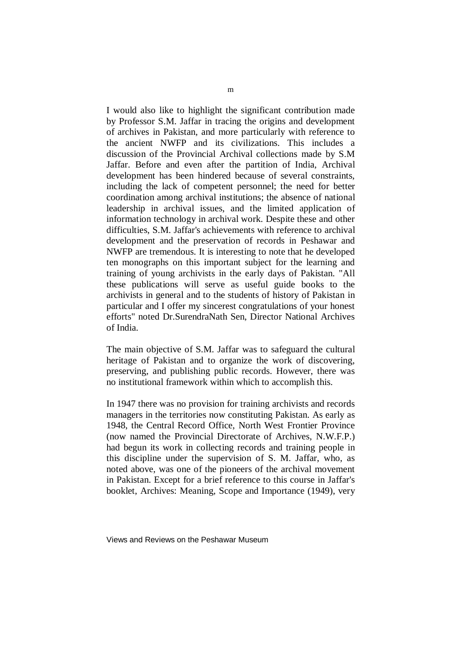I would also like to highlight the significant contribution made by Professor S.M. Jaffar in tracing the origins and development of archives in Pakistan, and more particularly with reference to the ancient NWFP and its civilizations. This includes a discussion of the Provincial Archival collections made by S.M Jaffar. Before and even after the partition of India, Archival development has been hindered because of several constraints, including the lack of competent personnel; the need for better coordination among archival institutions; the absence of national leadership in archival issues, and the limited application of information technology in archival work. Despite these and other difficulties, S.M. Jaffar's achievements with reference to archival development and the preservation of records in Peshawar and NWFP are tremendous. It is interesting to note that he developed ten monographs on this important subject for the learning and training of young archivists in the early days of Pakistan. "All these publications will serve as useful guide books to the archivists in general and to the students of history of Pakistan in particular and I offer my sincerest congratulations of your honest efforts" noted Dr.SurendraNath Sen, Director National Archives of India.

The main objective of S.M. Jaffar was to safeguard the cultural heritage of Pakistan and to organize the work of discovering, preserving, and publishing public records. However, there was no institutional framework within which to accomplish this.

In 1947 there was no provision for training archivists and records managers in the territories now constituting Pakistan. As early as 1948, the Central Record Office, North West Frontier Province (now named the Provincial Directorate of Archives, N.W.F.P.) had begun its work in collecting records and training people in this discipline under the supervision of S. M. Jaffar, who, as noted above, was one of the pioneers of the archival movement in Pakistan. Except for a brief reference to this course in Jaffar's booklet, Archives: Meaning, Scope and Importance (1949), very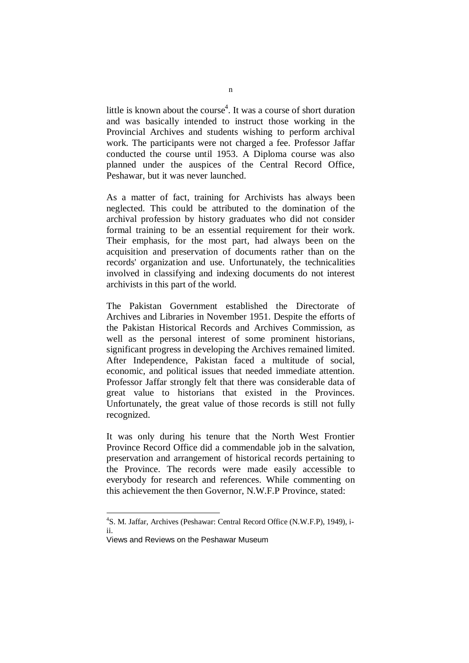little is known about the course<sup>4</sup>. It was a course of short duration and was basically intended to instruct those working in the Provincial Archives and students wishing to perform archival work. The participants were not charged a fee. Professor Jaffar conducted the course until 1953. A Diploma course was also planned under the auspices of the Central Record Office, Peshawar, but it was never launched.

As a matter of fact, training for Archivists has always been neglected. This could be attributed to the domination of the archival profession by history graduates who did not consider formal training to be an essential requirement for their work. Their emphasis, for the most part, had always been on the acquisition and preservation of documents rather than on the records' organization and use. Unfortunately, the technicalities involved in classifying and indexing documents do not interest archivists in this part of the world.

The Pakistan Government established the Directorate of Archives and Libraries in November 1951. Despite the efforts of the Pakistan Historical Records and Archives Commission, as well as the personal interest of some prominent historians, significant progress in developing the Archives remained limited. After Independence, Pakistan faced a multitude of social, economic, and political issues that needed immediate attention. Professor Jaffar strongly felt that there was considerable data of great value to historians that existed in the Provinces. Unfortunately, the great value of those records is still not fully recognized.

It was only during his tenure that the North West Frontier Province Record Office did a commendable job in the salvation, preservation and arrangement of historical records pertaining to the Province. The records were made easily accessible to everybody for research and references. While commenting on this achievement the then Governor, N.W.F.P Province, stated:

 4 S. M. Jaffar, Archives (Peshawar: Central Record Office (N.W.F.P), 1949), iii.

Views and Reviews on the Peshawar Museum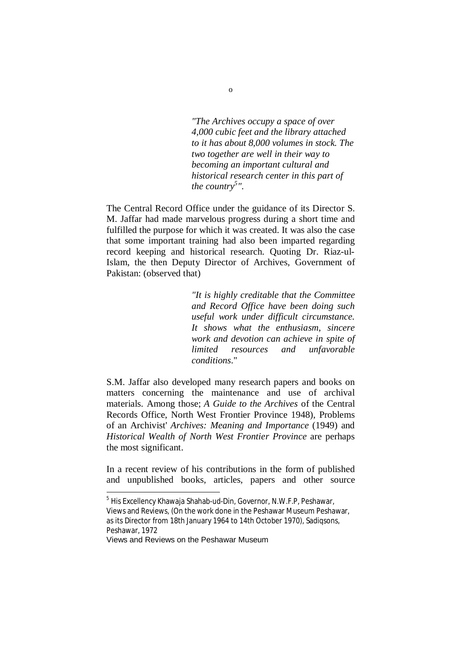*"The Archives occupy a space of over 4,000 cubic feet and the library attached to it has about 8,000 volumes in stock. The two together are well in their way to becoming an important cultural and historical research center in this part of the country<sup>5</sup> "*.

The Central Record Office under the guidance of its Director S. M. Jaffar had made marvelous progress during a short time and fulfilled the purpose for which it was created. It was also the case that some important training had also been imparted regarding record keeping and historical research. Quoting Dr. Riaz-ul-Islam, the then Deputy Director of Archives, Government of Pakistan: (observed that)

> *"It is highly creditable that the Committee and Record Office have been doing such useful work under difficult circumstance. It shows what the enthusiasm, sincere work and devotion can achieve in spite of limited resources and unfavorable conditions*."

S.M. Jaffar also developed many research papers and books on matters concerning the maintenance and use of archival materials. Among those; *A Guide to the Archives* of the Central Records Office, North West Frontier Province 1948), Problems of an Archivist' *Archives: Meaning and Importance* (1949) and *Historical Wealth of North West Frontier Province* are perhaps the most significant.

In a recent review of his contributions in the form of published and unpublished books, articles, papers and other source

 $\overline{a}$ 

<sup>&</sup>lt;sup>5</sup> His Excellency Khawaja Shahab-ud-Din, Governor, N.W.F.P, Peshawar, Views and Reviews, (On the work done in the Peshawar Museum Peshawar, as its Director from 18th January 1964 to 14th October 1970), Sadiqsons, Peshawar, 1972

Views and Reviews on the Peshawar Museum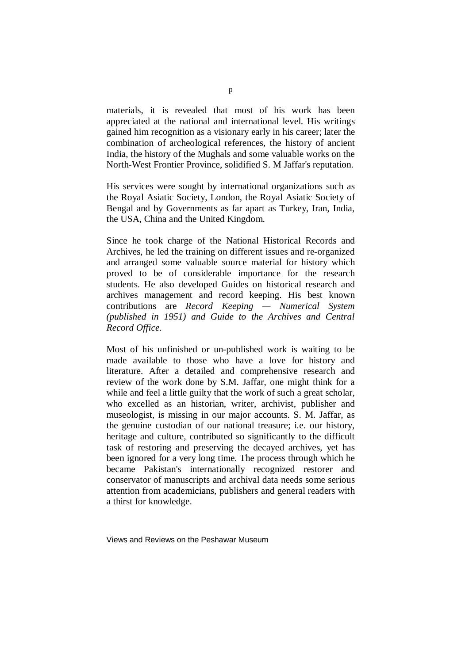materials, it is revealed that most of his work has been appreciated at the national and international level. His writings gained him recognition as a visionary early in his career; later the combination of archeological references, the history of ancient India, the history of the Mughals and some valuable works on the North-West Frontier Province, solidified S. M Jaffar's reputation.

His services were sought by international organizations such as the Royal Asiatic Society, London, the Royal Asiatic Society of Bengal and by Governments as far apart as Turkey, Iran, India, the USA, China and the United Kingdom.

Since he took charge of the National Historical Records and Archives, he led the training on different issues and re-organized and arranged some valuable source material for history which proved to be of considerable importance for the research students. He also developed Guides on historical research and archives management and record keeping. His best known contributions are *Record Keeping — Numerical System (published in 1951) and Guide to the Archives and Central Record Office*.

Most of his unfinished or un-published work is waiting to be made available to those who have a love for history and literature. After a detailed and comprehensive research and review of the work done by S.M. Jaffar, one might think for a while and feel a little guilty that the work of such a great scholar, who excelled as an historian, writer, archivist, publisher and museologist, is missing in our major accounts. S. M. Jaffar, as the genuine custodian of our national treasure; i.e. our history, heritage and culture, contributed so significantly to the difficult task of restoring and preserving the decayed archives, yet has been ignored for a very long time. The process through which he became Pakistan's internationally recognized restorer and conservator of manuscripts and archival data needs some serious attention from academicians, publishers and general readers with a thirst for knowledge.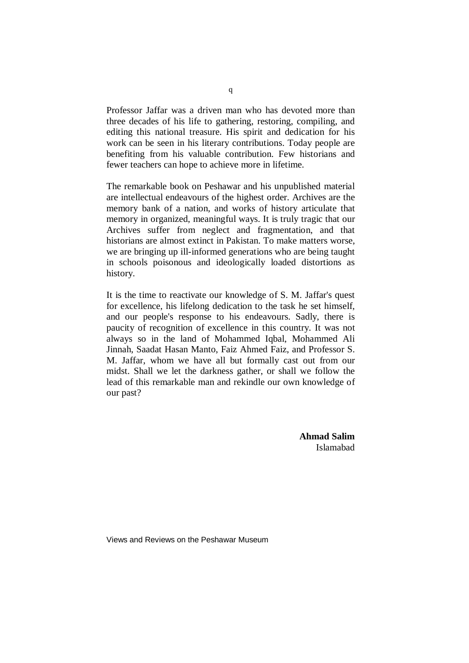Professor Jaffar was a driven man who has devoted more than three decades of his life to gathering, restoring, compiling, and editing this national treasure. His spirit and dedication for his work can be seen in his literary contributions. Today people are benefiting from his valuable contribution. Few historians and fewer teachers can hope to achieve more in lifetime.

The remarkable book on Peshawar and his unpublished material are intellectual endeavours of the highest order. Archives are the memory bank of a nation, and works of history articulate that memory in organized, meaningful ways. It is truly tragic that our Archives suffer from neglect and fragmentation, and that historians are almost extinct in Pakistan. To make matters worse, we are bringing up ill-informed generations who are being taught in schools poisonous and ideologically loaded distortions as history.

It is the time to reactivate our knowledge of S. M. Jaffar's quest for excellence, his lifelong dedication to the task he set himself, and our people's response to his endeavours. Sadly, there is paucity of recognition of excellence in this country. It was not always so in the land of Mohammed Iqbal, Mohammed Ali Jinnah, Saadat Hasan Manto, Faiz Ahmed Faiz, and Professor S. M. Jaffar, whom we have all but formally cast out from our midst. Shall we let the darkness gather, or shall we follow the lead of this remarkable man and rekindle our own knowledge of our past?

> **Ahmad Salim** Islamabad